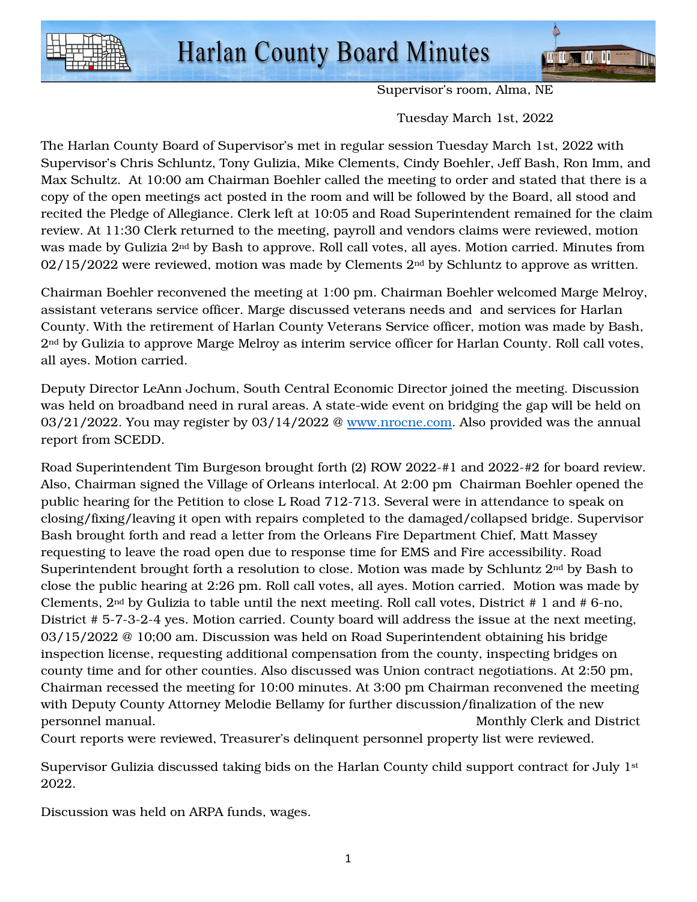

Supervisor's room, Alma, NE

Tuesday March 1st, 2022

The Harlan County Board of Supervisor's met in regular session Tuesday March 1st, 2022 with Supervisor's Chris Schluntz, Tony Gulizia, Mike Clements, Cindy Boehler, Jeff Bash, Ron Imm, and Max Schultz. At 10:00 am Chairman Boehler called the meeting to order and stated that there is a copy of the open meetings act posted in the room and will be followed by the Board, all stood and recited the Pledge of Allegiance. Clerk left at 10:05 and Road Superintendent remained for the claim review. At 11:30 Clerk returned to the meeting, payroll and vendors claims were reviewed, motion was made by Gulizia  $2<sup>nd</sup>$  by Bash to approve. Roll call votes, all ayes. Motion carried. Minutes from  $02/15/2022$  were reviewed, motion was made by Clements  $2<sup>nd</sup>$  by Schluntz to approve as written.

Chairman Boehler reconvened the meeting at 1:00 pm. Chairman Boehler welcomed Marge Melroy, assistant veterans service officer. Marge discussed veterans needs and and services for Harlan County. With the retirement of Harlan County Veterans Service officer, motion was made by Bash, 2nd by Gulizia to approve Marge Melroy as interim service officer for Harlan County. Roll call votes, all ayes. Motion carried.

Deputy Director LeAnn Jochum, South Central Economic Director joined the meeting. Discussion was held on broadband need in rural areas. A state-wide event on bridging the gap will be held on 03/21/2022. You may register by 03/14/2022 @ www.nrocne.com. Also provided was the annual report from SCEDD.

Road Superintendent Tim Burgeson brought forth (2) ROW 2022-#1 and 2022-#2 for board review. Also, Chairman signed the Village of Orleans interlocal. At 2:00 pm Chairman Boehler opened the public hearing for the Petition to close L Road 712-713. Several were in attendance to speak on closing/fixing/leaving it open with repairs completed to the damaged/collapsed bridge. Supervisor Bash brought forth and read a letter from the Orleans Fire Department Chief, Matt Massey requesting to leave the road open due to response time for EMS and Fire accessibility. Road Superintendent brought forth a resolution to close. Motion was made by Schluntz 2nd by Bash to close the public hearing at 2:26 pm. Roll call votes, all ayes. Motion carried. Motion was made by Clements,  $2<sup>nd</sup>$  by Gulizia to table until the next meeting. Roll call votes, District # 1 and # 6-no, District # 5-7-3-2-4 yes. Motion carried. County board will address the issue at the next meeting, 03/15/2022 @ 10;00 am. Discussion was held on Road Superintendent obtaining his bridge inspection license, requesting additional compensation from the county, inspecting bridges on county time and for other counties. Also discussed was Union contract negotiations. At 2:50 pm, Chairman recessed the meeting for 10:00 minutes. At 3:00 pm Chairman reconvened the meeting with Deputy County Attorney Melodie Bellamy for further discussion/finalization of the new personnel manual. Monthly Clerk and District

Court reports were reviewed, Treasurer's delinquent personnel property list were reviewed.

Supervisor Gulizia discussed taking bids on the Harlan County child support contract for July 1st 2022.

Discussion was held on ARPA funds, wages.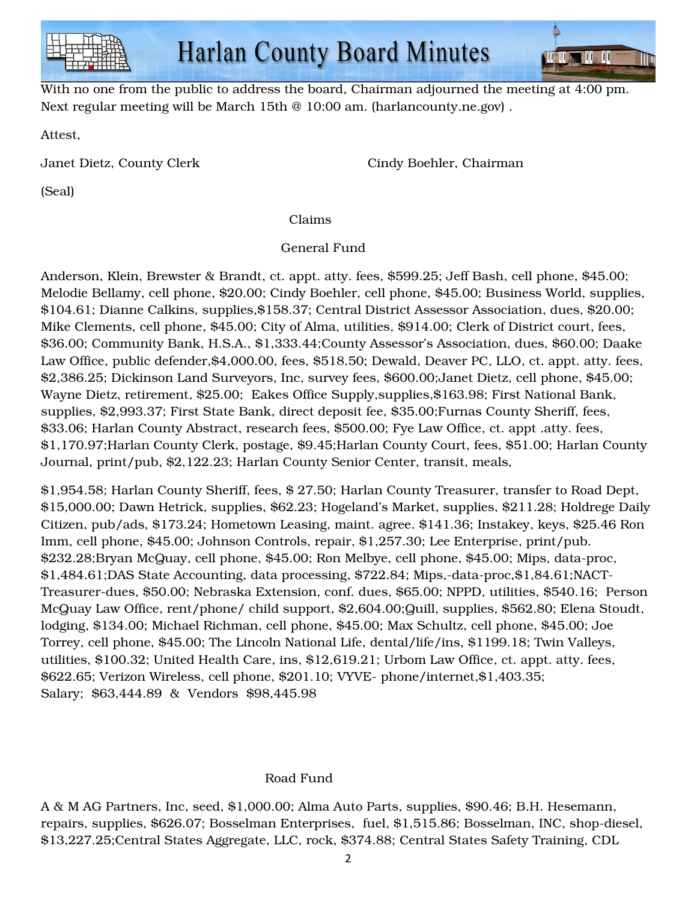

## **Harlan County Board Minutes**



With no one from the public to address the board, Chairman adjourned the meeting at 4:00 pm. Next regular meeting will be March 15th @ 10:00 am. (harlancounty.ne.gov) .

Attest,

Janet Dietz, County Clerk Cindy Boehler, Chairman

(Seal)

Claims

General Fund

Anderson, Klein, Brewster & Brandt, ct. appt. atty. fees, \$599.25; Jeff Bash, cell phone, \$45.00; Melodie Bellamy, cell phone, \$20.00; Cindy Boehler, cell phone, \$45.00; Business World, supplies, \$104.61; Dianne Calkins, supplies,\$158.37; Central District Assessor Association, dues, \$20.00; Mike Clements, cell phone, \$45.00; City of Alma, utilities, \$914.00; Clerk of District court, fees, \$36.00; Community Bank, H.S.A., \$1,333.44;County Assessor's Association, dues, \$60.00; Daake Law Office, public defender,\$4,000.00, fees, \$518.50; Dewald, Deaver PC, LLO, ct. appt. atty. fees, \$2,386.25; Dickinson Land Surveyors, Inc, survey fees, \$600.00;Janet Dietz, cell phone, \$45.00; Wayne Dietz, retirement, \$25.00; Eakes Office Supply,supplies,\$163.98; First National Bank, supplies, \$2,993.37; First State Bank, direct deposit fee, \$35.00;Furnas County Sheriff, fees, \$33.06; Harlan County Abstract, research fees, \$500.00; Fye Law Office, ct. appt .atty. fees, \$1,170.97;Harlan County Clerk, postage, \$9.45;Harlan County Court, fees, \$51.00; Harlan County Journal, print/pub, \$2,122.23; Harlan County Senior Center, transit, meals,

\$1,954.58; Harlan County Sheriff, fees, \$ 27.50; Harlan County Treasurer, transfer to Road Dept, \$15,000.00; Dawn Hetrick, supplies, \$62.23; Hogeland's Market, supplies, \$211.28; Holdrege Daily Citizen, pub/ads, \$173.24; Hometown Leasing, maint. agree. \$141.36; Instakey, keys, \$25.46 Ron Imm, cell phone, \$45.00; Johnson Controls, repair, \$1,257.30; Lee Enterprise, print/pub. \$232.28;Bryan McQuay, cell phone, \$45.00; Ron Melbye, cell phone, \$45.00; Mips, data-proc, \$1,484.61;DAS State Accounting, data processing, \$722.84; Mips,-data-proc,\$1,84.61;NACT-Treasurer-dues, \$50.00; Nebraska Extension, conf. dues, \$65.00; NPPD, utilities, \$540.16; Person McQuay Law Office, rent/phone/ child support, \$2,604.00;Quill, supplies, \$562.80; Elena Stoudt, lodging, \$134.00; Michael Richman, cell phone, \$45.00; Max Schultz, cell phone, \$45.00; Joe Torrey, cell phone, \$45.00; The Lincoln National Life, dental/life/ins, \$1199.18; Twin Valleys, utilities, \$100.32; United Health Care, ins, \$12,619.21; Urbom Law Office, ct. appt. atty. fees, \$622.65; Verizon Wireless, cell phone, \$201.10; VYVE- phone/internet,\$1,403.35; Salary; \$63,444.89 & Vendors \$98,445.98

## Road Fund

A & M AG Partners, Inc, seed, \$1,000.00; Alma Auto Parts, supplies, \$90.46; B.H. Hesemann, repairs, supplies, \$626.07; Bosselman Enterprises, fuel, \$1,515.86; Bosselman, INC, shop-diesel, \$13,227.25;Central States Aggregate, LLC, rock, \$374.88; Central States Safety Training, CDL